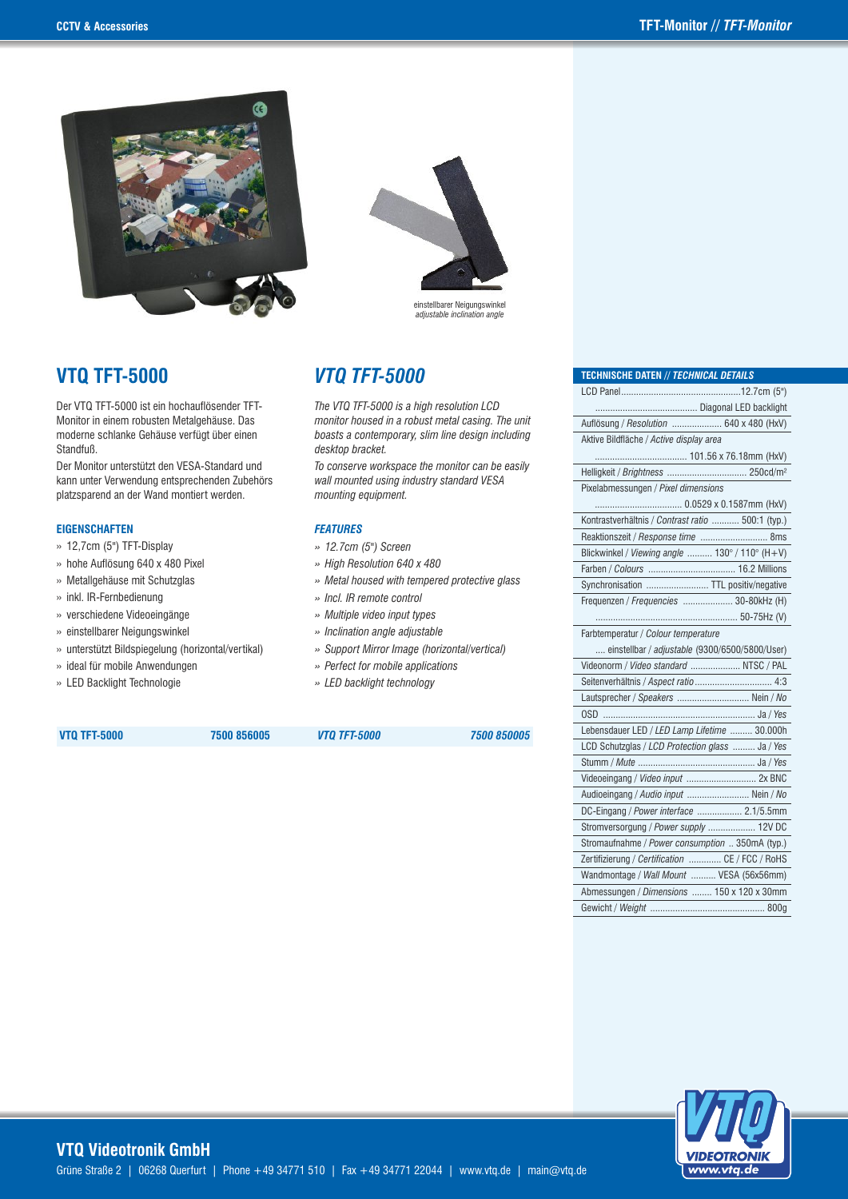

## **VTQ TFT-5000** *VTQ TFT-5000*

Der VTQ TFT-5000 ist ein hochauflösender TFT-Monitor in einem robusten Metalgehäuse. Das moderne schlanke Gehäuse verfügt über einen Standfuß.

Der Monitor unterstützt den VESA-Standard und kann unter Verwendung entsprechenden Zubehörs platzsparend an der Wand montiert werden.

#### **EIGENSCHAFTEN**

- » 12,7cm (5") TFT-Display
- » hohe Auflösung 640 x 480 Pixel
- » Metallgehäuse mit Schutzglas
- » inkl. IR-Fernbedienung
- » verschiedene Videoeingänge
- » einstellbarer Neigungswinkel
- » unterstützt Bildspiegelung (horizontal/vertikal)
- » ideal für mobile Anwendungen
- » LED Backlight Technologie



*The VTQ TFT-5000 is a high resolution LCD monitor housed in a robust metal casing. The unit boasts a contemporary, slim line design including desktop bracket.* 

*To conserve workspace the monitor can be easily wall mounted using industry standard VESA mounting equipment.*

#### *FEATURES*

- *» 12.7cm (5") Screen*
- *» High Resolution 640 x 480*
- *» Metal housed with tempered protective glass*
- *» Incl. IR remote control*
- *» Multiple video input types*
- *» Inclination angle adjustable*
- *» Support Mirror Image (horizontal/vertical)*
- *» Perfect for mobile applications*
- *» LED backlight technology*

 **VTQ TFT-5000 7500 856005** *VTQ TFT-5000 7500 850005*

| Auflösung / Resolution  640 x 480 (HxV)           |
|---------------------------------------------------|
| Aktive Bildfläche / Active display area           |
|                                                   |
|                                                   |
| Pixelabmessungen / Pixel dimensions               |
|                                                   |
| Kontrastverhältnis / Contrast ratio  500:1 (typ.) |
| Reaktionszeit / Response time  8ms                |
| Blickwinkel / Viewing angle  130° / 110° (H+V)    |
|                                                   |
| Synchronisation  TTL positiv/negative             |
| Frequenzen / Frequencies  30-80kHz (H)            |
|                                                   |
| Farbtemperatur / Colour temperature               |
| einstellbar / adjustable (9300/6500/5800/User)    |
| Videonorm / Video standard  NTSC / PAL            |
| Seitenverhältnis / Aspect ratio  4:3              |
| Lautsprecher / Speakers  Nein / No                |
| $OSD$                                             |
| Lebensdauer LED / LED Lamp Lifetime  30.000h      |
| LCD Schutzglas / LCD Protection glass  Ja / Yes   |
|                                                   |
|                                                   |
| Audioeingang / Audio input  Nein / No             |
| DC-Eingang / Power interface  2.1/5.5mm           |
| Stromversorgung / Power supply  12V DC            |
| Stromaufnahme / Power consumption  350mA (typ.)   |
| Zertifizierung / Certification  CE / FCC / RoHS   |
| Wandmontage / Wall Mount  VESA (56x56mm)          |
| Abmessungen / Dimensions  150 x 120 x 30mm        |
|                                                   |

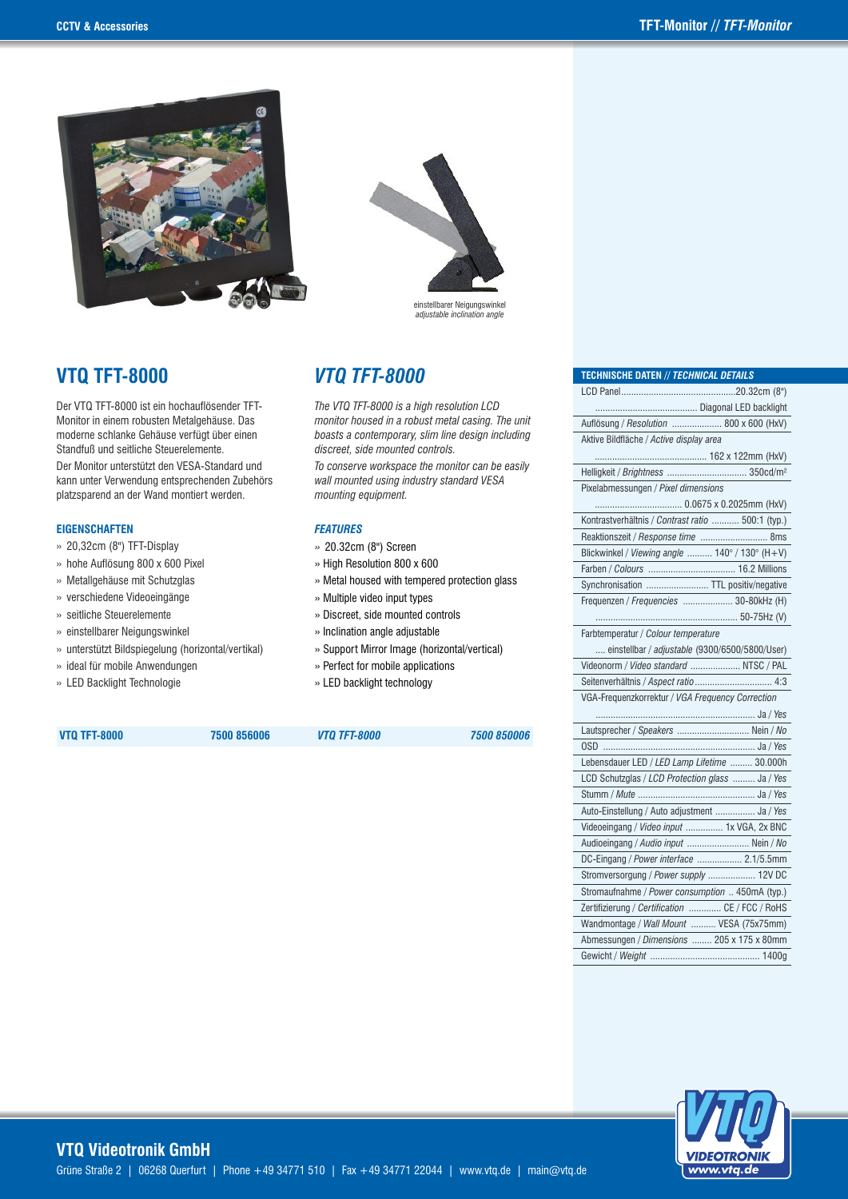

# einstellbarer Neigungswinkel *adjustable inclination angle*

# **VTQ TFT-8000** *VTQ TFT-8000*

Der VTQ TFT-8000 ist ein hochauflösender TFT-Monitor in einem robusten Metalgehäuse. Das moderne schlanke Gehäuse verfügt über einen Standfuß und seitliche Steuerelemente.

Der Monitor unterstützt den VESA-Standard und kann unter Verwendung entsprechenden Zubehörs platzsparend an der Wand montiert werden.

#### **EIGENSCHAFTEN**

- » 20,32cm (8") TFT-Display
- » hohe Auflösung 800 x 600 Pixel
- » Metallgehäuse mit Schutzglas
- » verschiedene Videoeingänge
- » seitliche Steuerelemente
- » einstellbarer Neigungswinkel
- » unterstützt Bildspiegelung (horizontal/vertikal)
- » ideal für mobile Anwendungen
- » LED Backlight Technologie

*The VTQ TFT-8000 is a high resolution LCD monitor housed in a robust metal casing. The unit boasts a contemporary, slim line design including discreet, side mounted controls.*

*To conserve workspace the monitor can be easily wall mounted using industry standard VESA mounting equipment.*

#### *FEATURES*

- *»* 20.32cm (8") Screen
- » High Resolution 800 x 600
- » Metal housed with tempered protection glass
- » Multiple video input types
- » Discreet, side mounted controls
- » Inclination angle adjustable
- » Support Mirror Image (horizontal/vertical)
- » Perfect for mobile applications
- » LED backlight technology

 **VTQ TFT-8000 7500 856006** *VTQ TFT-8000 7500 850006*

| <b>TECHNISCHE DATEN // TECHNICAL DETAILS</b>      |
|---------------------------------------------------|
|                                                   |
|                                                   |
| Auflösung / Resolution  800 x 600 (HxV)           |
| Aktive Bildfläche / Active display area           |
|                                                   |
| Helligkeit / Brightness  350cd/m <sup>2</sup>     |
| Pixelabmessungen / Pixel dimensions               |
|                                                   |
| Kontrastverhältnis / Contrast ratio  500:1 (typ.) |
| Reaktionszeit / Response time  8ms                |
| Blickwinkel / Viewing angle  140° / 130° (H+V)    |
|                                                   |
| Synchronisation  TTL positiv/negative             |
| Frequenzen / Frequencies  30-80kHz (H)            |
|                                                   |
| Farbtemperatur / Colour temperature               |
| einstellbar / adjustable (9300/6500/5800/User)    |
| Videonorm / Video standard  NTSC / PAL            |
|                                                   |
| VGA-Frequenzkorrektur / VGA Frequency Correction  |
|                                                   |
| Lautsprecher / Speakers  Nein / No                |
| $OSD$                                             |
| Lebensdauer LED / LED Lamp Lifetime  30.000h      |
| LCD Schutzglas / LCD Protection glass  Ja / Yes   |
|                                                   |
| Auto-Einstellung / Auto adjustment  Ja / Yes      |
| Videoeingang / Video input  1x VGA, 2x BNC        |
| Audioeingang / Audio input  Nein / No             |
| DC-Eingang / Power interface  2.1/5.5mm           |
| Stromversorgung / Power supply  12V DC            |
| Stromaufnahme / Power consumption  450mA (typ.)   |
| Zertifizierung / Certification  CE / FCC / RoHS   |
| Wandmontage / Wall Mount  VESA (75x75mm)          |
| Abmessungen / Dimensions  205 x 175 x 80mm        |
|                                                   |
|                                                   |

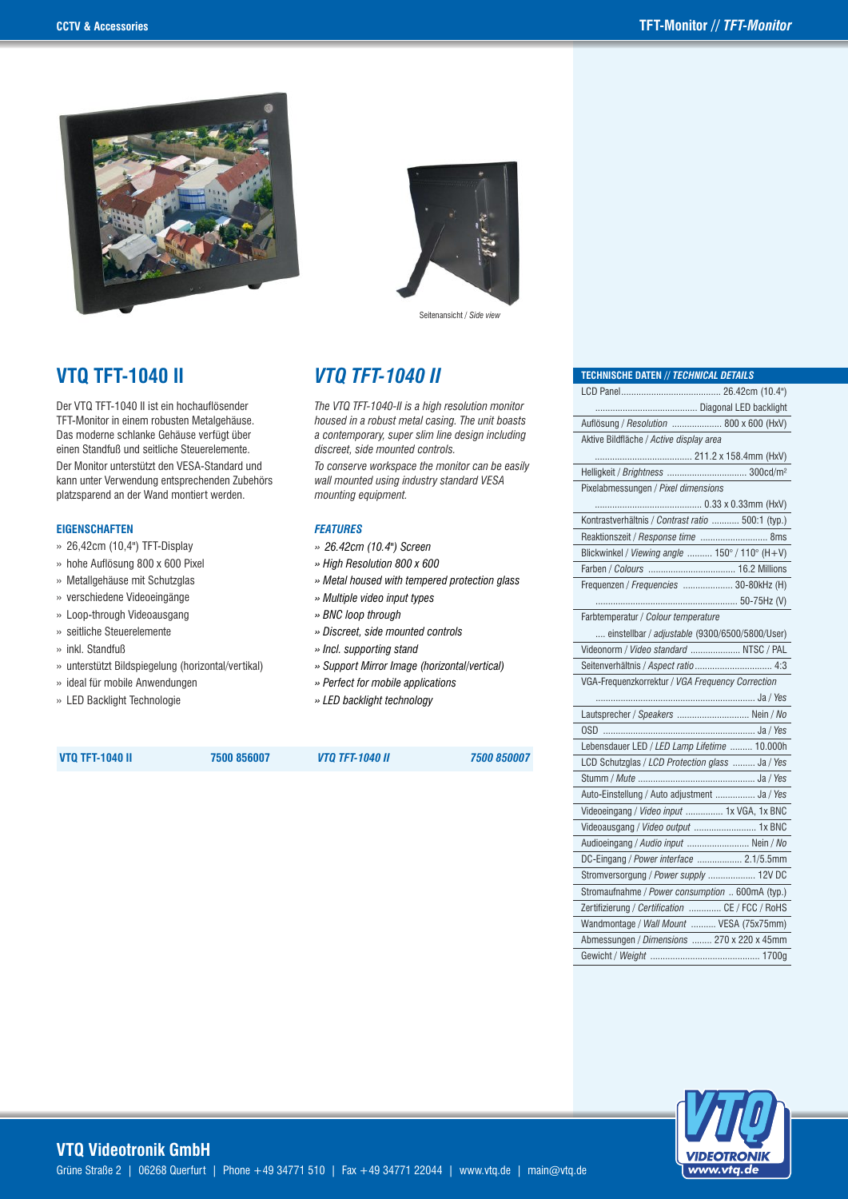

# **VTQ TFT-1040 II** *VTQ TFT-1040 II*

Der VTQ TFT-1040 II ist ein hochauflösender TFT-Monitor in einem robusten Metalgehäuse. Das moderne schlanke Gehäuse verfügt über einen Standfuß und seitliche Steuerelemente. Der Monitor unterstützt den VESA-Standard und kann unter Verwendung entsprechenden Zubehörs platzsparend an der Wand montiert werden.

#### **EIGENSCHAFTEN**

- » 26,42cm (10,4") TFT-Display
- » hohe Auflösung 800 x 600 Pixel
- » Metallgehäuse mit Schutzglas
- » verschiedene Videoeingänge
- » Loop-through Videoausgang
- » seitliche Steuerelemente
- » inkl. Standfuß
- » unterstützt Bildspiegelung (horizontal/vertikal)
- » ideal für mobile Anwendungen
- » LED Backlight Technologie



Seitenansicht / *Side view*

*The VTQ TFT-1040-II is a high resolution monitor housed in a robust metal casing. The unit boasts a contemporary, super slim line design including discreet, side mounted controls.*

*To conserve workspace the monitor can be easily wall mounted using industry standard VESA mounting equipment.*

#### *FEATURES*

- *» 26.42cm (10.4") Screen*
- *» High Resolution 800 x 600*
- *» Metal housed with tempered protection glass*
- *» Multiple video input types*
- *» BNC loop through*
- *» Discreet, side mounted controls*
- *» Incl. supporting stand*
- *» Support Mirror Image (horizontal/vertical)*
- *» Perfect for mobile applications*
- *» LED backlight technology*

 **VTQ TFT-1040 II 7500 856007** *VTQ TFT-1040 II 7500 850007*

| <b>TECHNISCHE DATEN // TECHNICAL DETAILS</b>      |
|---------------------------------------------------|
|                                                   |
|                                                   |
| Auflösung / Resolution  800 x 600 (HxV)           |
| Aktive Bildfläche / Active display area           |
|                                                   |
|                                                   |
| Pixelabmessungen / Pixel dimensions               |
|                                                   |
| Kontrastverhältnis / Contrast ratio  500:1 (typ.) |
| Reaktionszeit / Response time  8ms                |
| Blickwinkel / Viewing angle  150° / 110° (H+V)    |
|                                                   |
| Frequenzen / Frequencies  30-80kHz (H)            |
|                                                   |
| Farbtemperatur / Colour temperature               |
| einstellbar / adjustable (9300/6500/5800/User)    |
| Videonorm / Video standard  NTSC / PAL            |
|                                                   |
| VGA-Frequenzkorrektur / VGA Frequency Correction  |
|                                                   |
| Lautsprecher / Speakers  Nein / No                |
|                                                   |
| Lebensdauer LED / LED Lamp Lifetime  10.000h      |
| LCD Schutzglas / LCD Protection glass  Ja / Yes   |
|                                                   |
| Auto-Einstellung / Auto adjustment  Ja / Yes      |
| Videoeingang / Video input  1x VGA, 1x BNC        |
| Videoausgang / Video output  1x BNC               |
| Audioeingang / Audio input  Nein / No             |
| DC-Eingang / Power interface  2.1/5.5mm           |
| Stromversorgung / Power supply  12V DC            |
| Stromaufnahme / Power consumption  600mA (typ.)   |
| Zertifizierung / Certification  CE / FCC / RoHS   |
| Wandmontage / Wall Mount  VESA (75x75mm)          |
| Abmessungen / Dimensions  270 x 220 x 45mm        |
| 1700g                                             |

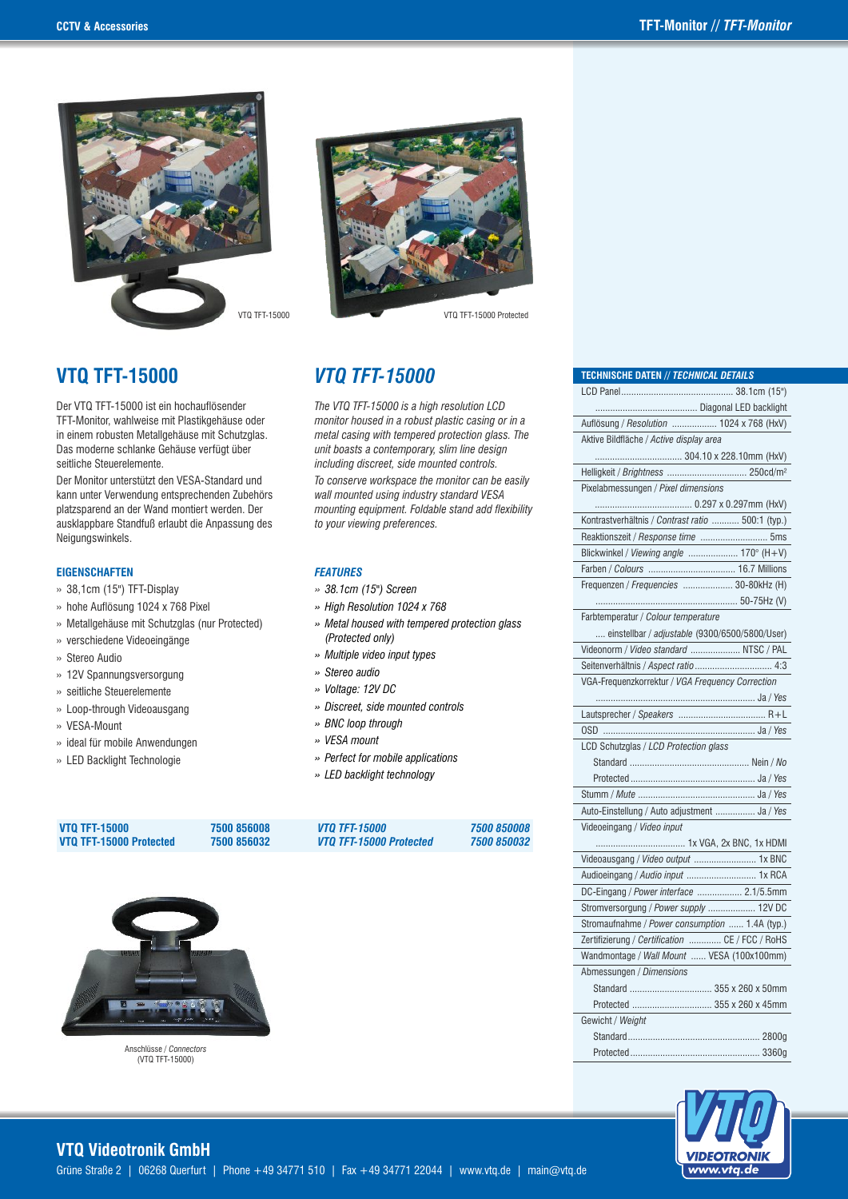

VTO TFT-15000 Protected

*The VTQ TFT-15000 is a high resolution LCD monitor housed in a robust plastic casing or in a metal casing with tempered protection glass. The unit boasts a contemporary, slim line design including discreet, side mounted controls. To conserve workspace the monitor can be easily wall mounted using industry standard VESA mounting equipment. Foldable stand add flexibility* 

# **VTQ TFT-15000** *VTQ TFT-15000*

Der VTQ TFT-15000 ist ein hochauflösender TFT-Monitor, wahlweise mit Plastikgehäuse oder in einem robusten Metallgehäuse mit Schutzglas. Das moderne schlanke Gehäuse verfügt über seitliche Steuerelemente.

Der Monitor unterstützt den VESA-Standard und kann unter Verwendung entsprechenden Zubehörs platzsparend an der Wand montiert werden. Der ausklappbare Standfuß erlaubt die Anpassung des Neigungswinkels.

#### **EIGENSCHAFTEN**

- » 38,1cm (15") TFT-Display
- » hohe Auflösung 1024 x 768 Pixel
- » Metallgehäuse mit Schutzglas (nur Protected)
- » verschiedene Videoeingänge
- » Stereo Audio
- » 12V Spannungsversorgung
- » seitliche Steuerelemente
- » Loop-through Videoausgang
- » VESA-Mount
- » ideal für mobile Anwendungen
- » LED Backlight Technologie



#### *FEATURES*

- *» 38.1cm (15") Screen*
- *» High Resolution 1024 x 768*
- *» Metal housed with tempered protection glass (Protected only)*
- *» Multiple video input types*
- *» Stereo audio*
- *» Voltage: 12V DC*
- *» Discreet, side mounted controls*
- *» BNC loop through*
- *» VESA mount*
- *» Perfect for mobile applications*
- *» LED backlight technology*

| <b>VTO TFT-15000</b>    | 7500 856008 | <i><b>VTO TFT-15000</b></i> | 7500 850008 |
|-------------------------|-------------|-----------------------------|-------------|
| VTQ TFT-15000 Protected | 7500 856032 | VTO TFT-15000 Protected     | 7500 850032 |



Anschlüsse / *Connectors* (VTQ TFT-15000)